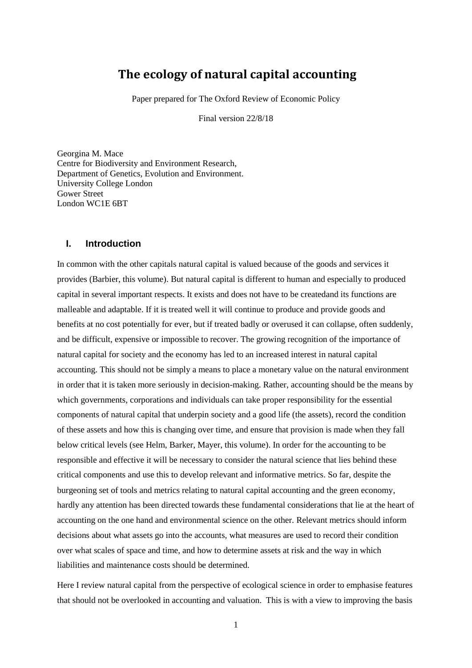# **The ecology of natural capital accounting**

Paper prepared for The Oxford Review of Economic Policy

Final version 22/8/18

Georgina M. Mace Centre for Biodiversity and Environment Research, Department of Genetics, Evolution and Environment. University College London Gower Street London WC1E 6BT

#### **I. Introduction**

In common with the other capitals natural capital is valued because of the goods and services it provides (Barbier, this volume). But natural capital is different to human and especially to produced capital in several important respects. It exists and does not have to be createdand its functions are malleable and adaptable. If it is treated well it will continue to produce and provide goods and benefits at no cost potentially for ever, but if treated badly or overused it can collapse, often suddenly, and be difficult, expensive or impossible to recover. The growing recognition of the importance of natural capital for society and the economy has led to an increased interest in natural capital accounting. This should not be simply a means to place a monetary value on the natural environment in order that it is taken more seriously in decision-making. Rather, accounting should be the means by which governments, corporations and individuals can take proper responsibility for the essential components of natural capital that underpin society and a good life (the assets), record the condition of these assets and how this is changing over time, and ensure that provision is made when they fall below critical levels (see Helm, Barker, Mayer, this volume). In order for the accounting to be responsible and effective it will be necessary to consider the natural science that lies behind these critical components and use this to develop relevant and informative metrics. So far, despite the burgeoning set of tools and metrics relating to natural capital accounting and the green economy, hardly any attention has been directed towards these fundamental considerations that lie at the heart of accounting on the one hand and environmental science on the other. Relevant metrics should inform decisions about what assets go into the accounts, what measures are used to record their condition over what scales of space and time, and how to determine assets at risk and the way in which liabilities and maintenance costs should be determined.

Here I review natural capital from the perspective of ecological science in order to emphasise features that should not be overlooked in accounting and valuation. This is with a view to improving the basis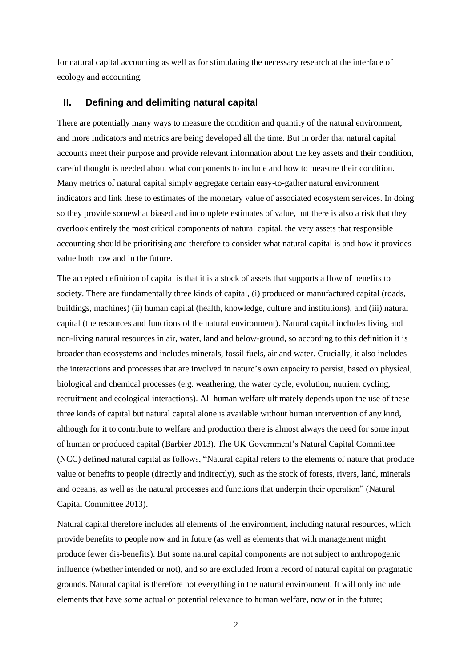for natural capital accounting as well as for stimulating the necessary research at the interface of ecology and accounting.

## **II. Defining and delimiting natural capital**

There are potentially many ways to measure the condition and quantity of the natural environment, and more indicators and metrics are being developed all the time. But in order that natural capital accounts meet their purpose and provide relevant information about the key assets and their condition, careful thought is needed about what components to include and how to measure their condition. Many metrics of natural capital simply aggregate certain easy-to-gather natural environment indicators and link these to estimates of the monetary value of associated ecosystem services. In doing so they provide somewhat biased and incomplete estimates of value, but there is also a risk that they overlook entirely the most critical components of natural capital, the very assets that responsible accounting should be prioritising and therefore to consider what natural capital is and how it provides value both now and in the future.

The accepted definition of capital is that it is a stock of assets that supports a flow of benefits to society. There are fundamentally three kinds of capital, (i) produced or manufactured capital (roads, buildings, machines) (ii) human capital (health, knowledge, culture and institutions), and (iii) natural capital (the resources and functions of the natural environment). Natural capital includes living and non-living natural resources in air, water, land and below-ground, so according to this definition it is broader than ecosystems and includes minerals, fossil fuels, air and water. Crucially, it also includes the interactions and processes that are involved in nature's own capacity to persist, based on physical, biological and chemical processes (e.g. weathering, the water cycle, evolution, nutrient cycling, recruitment and ecological interactions). All human welfare ultimately depends upon the use of these three kinds of capital but natural capital alone is available without human intervention of any kind, although for it to contribute to welfare and production there is almost always the need for some input of human or produced capital (Barbier 2013). The UK Government's Natural Capital Committee (NCC) defined natural capital as follows, "Natural capital refers to the elements of nature that produce value or benefits to people (directly and indirectly), such as the stock of forests, rivers, land, minerals and oceans, as well as the natural processes and functions that underpin their operation" (Natural Capital Committee 2013).

Natural capital therefore includes all elements of the environment, including natural resources, which provide benefits to people now and in future (as well as elements that with management might produce fewer dis-benefits). But some natural capital components are not subject to anthropogenic influence (whether intended or not), and so are excluded from a record of natural capital on pragmatic grounds. Natural capital is therefore not everything in the natural environment. It will only include elements that have some actual or potential relevance to human welfare, now or in the future;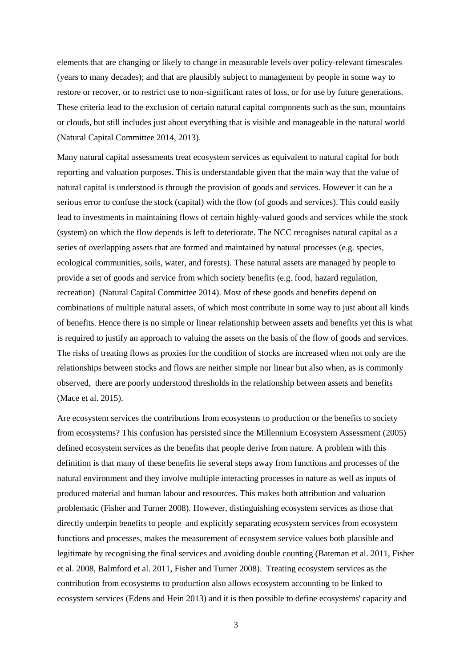elements that are changing or likely to change in measurable levels over policy-relevant timescales (years to many decades); and that are plausibly subject to management by people in some way to restore or recover, or to restrict use to non-significant rates of loss, or for use by future generations. These criteria lead to the exclusion of certain natural capital components such as the sun, mountains or clouds, but still includes just about everything that is visible and manageable in the natural world (Natural Capital Committee 2014, 2013).

Many natural capital assessments treat ecosystem services as equivalent to natural capital for both reporting and valuation purposes. This is understandable given that the main way that the value of natural capital is understood is through the provision of goods and services. However it can be a serious error to confuse the stock (capital) with the flow (of goods and services). This could easily lead to investments in maintaining flows of certain highly-valued goods and services while the stock (system) on which the flow depends is left to deteriorate. The NCC recognises natural capital as a series of overlapping assets that are formed and maintained by natural processes (e.g. species, ecological communities, soils, water, and forests). These natural assets are managed by people to provide a set of goods and service from which society benefits (e.g. food, hazard regulation, recreation) (Natural Capital Committee 2014). Most of these goods and benefits depend on combinations of multiple natural assets, of which most contribute in some way to just about all kinds of benefits. Hence there is no simple or linear relationship between assets and benefits yet this is what is required to justify an approach to valuing the assets on the basis of the flow of goods and services. The risks of treating flows as proxies for the condition of stocks are increased when not only are the relationships between stocks and flows are neither simple nor linear but also when, as is commonly observed, there are poorly understood thresholds in the relationship between assets and benefits (Mace et al. 2015).

Are ecosystem services the contributions from ecosystems to production or the benefits to society from ecosystems? This confusion has persisted since the Millennium Ecosystem Assessment (2005) defined ecosystem services as the benefits that people derive from nature. A problem with this definition is that many of these benefits lie several steps away from functions and processes of the natural environment and they involve multiple interacting processes in nature as well as inputs of produced material and human labour and resources. This makes both attribution and valuation problematic (Fisher and Turner 2008). However, distinguishing ecosystem services as those that directly underpin benefits to people and explicitly separating ecosystem services from ecosystem functions and processes, makes the measurement of ecosystem service values both plausible and legitimate by recognising the final services and avoiding double counting (Bateman et al. 2011, Fisher et al. 2008, Balmford et al. 2011, Fisher and Turner 2008). Treating ecosystem services as the contribution from ecosystems to production also allows ecosystem accounting to be linked to ecosystem services (Edens and Hein 2013) and it is then possible to define ecosystems' capacity and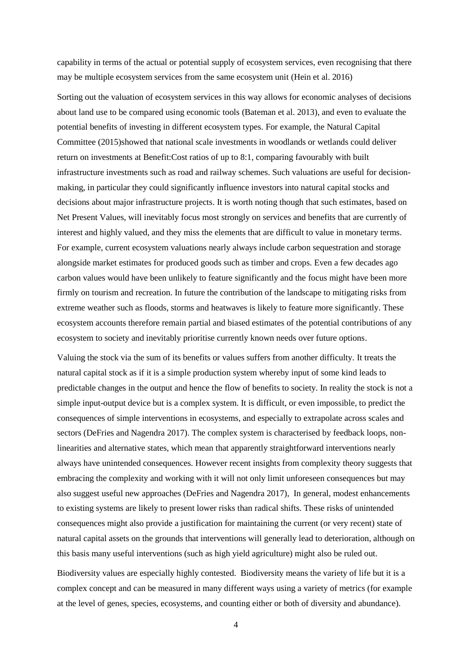capability in terms of the actual or potential supply of ecosystem services, even recognising that there may be multiple ecosystem services from the same ecosystem unit (Hein et al. 2016)

Sorting out the valuation of ecosystem services in this way allows for economic analyses of decisions about land use to be compared using economic tools (Bateman et al. 2013), and even to evaluate the potential benefits of investing in different ecosystem types. For example, the Natural Capital Committee (2015)showed that national scale investments in woodlands or wetlands could deliver return on investments at Benefit:Cost ratios of up to 8:1, comparing favourably with built infrastructure investments such as road and railway schemes. Such valuations are useful for decisionmaking, in particular they could significantly influence investors into natural capital stocks and decisions about major infrastructure projects. It is worth noting though that such estimates, based on Net Present Values, will inevitably focus most strongly on services and benefits that are currently of interest and highly valued, and they miss the elements that are difficult to value in monetary terms. For example, current ecosystem valuations nearly always include carbon sequestration and storage alongside market estimates for produced goods such as timber and crops. Even a few decades ago carbon values would have been unlikely to feature significantly and the focus might have been more firmly on tourism and recreation. In future the contribution of the landscape to mitigating risks from extreme weather such as floods, storms and heatwaves is likely to feature more significantly. These ecosystem accounts therefore remain partial and biased estimates of the potential contributions of any ecosystem to society and inevitably prioritise currently known needs over future options.

Valuing the stock via the sum of its benefits or values suffers from another difficulty. It treats the natural capital stock as if it is a simple production system whereby input of some kind leads to predictable changes in the output and hence the flow of benefits to society. In reality the stock is not a simple input-output device but is a complex system. It is difficult, or even impossible, to predict the consequences of simple interventions in ecosystems, and especially to extrapolate across scales and sectors (DeFries and Nagendra 2017). The complex system is characterised by feedback loops, nonlinearities and alternative states, which mean that apparently straightforward interventions nearly always have unintended consequences. However recent insights from complexity theory suggests that embracing the complexity and working with it will not only limit unforeseen consequences but may also suggest useful new approaches (DeFries and Nagendra 2017), In general, modest enhancements to existing systems are likely to present lower risks than radical shifts. These risks of unintended consequences might also provide a justification for maintaining the current (or very recent) state of natural capital assets on the grounds that interventions will generally lead to deterioration, although on this basis many useful interventions (such as high yield agriculture) might also be ruled out.

Biodiversity values are especially highly contested. Biodiversity means the variety of life but it is a complex concept and can be measured in many different ways using a variety of metrics (for example at the level of genes, species, ecosystems, and counting either or both of diversity and abundance).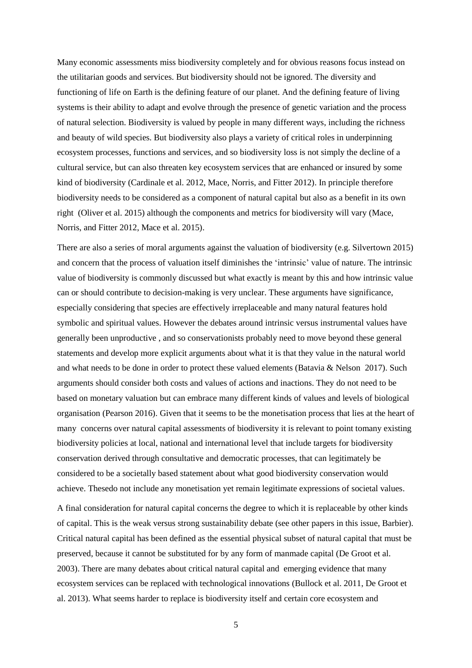Many economic assessments miss biodiversity completely and for obvious reasons focus instead on the utilitarian goods and services. But biodiversity should not be ignored. The diversity and functioning of life on Earth is the defining feature of our planet. And the defining feature of living systems is their ability to adapt and evolve through the presence of genetic variation and the process of natural selection. Biodiversity is valued by people in many different ways, including the richness and beauty of wild species. But biodiversity also plays a variety of critical roles in underpinning ecosystem processes, functions and services, and so biodiversity loss is not simply the decline of a cultural service, but can also threaten key ecosystem services that are enhanced or insured by some kind of biodiversity (Cardinale et al. 2012, Mace, Norris, and Fitter 2012). In principle therefore biodiversity needs to be considered as a component of natural capital but also as a benefit in its own right (Oliver et al. 2015) although the components and metrics for biodiversity will vary (Mace, Norris, and Fitter 2012, Mace et al. 2015).

There are also a series of moral arguments against the valuation of biodiversity (e.g. Silvertown 2015) and concern that the process of valuation itself diminishes the 'intrinsic' value of nature. The intrinsic value of biodiversity is commonly discussed but what exactly is meant by this and how intrinsic value can or should contribute to decision-making is very unclear. These arguments have significance, especially considering that species are effectively irreplaceable and many natural features hold symbolic and spiritual values. However the debates around intrinsic versus instrumental values have generally been unproductive , and so conservationists probably need to move beyond these general statements and develop more explicit arguments about what it is that they value in the natural world and what needs to be done in order to protect these valued elements (Batavia & Nelson 2017). Such arguments should consider both costs and values of actions and inactions. They do not need to be based on monetary valuation but can embrace many different kinds of values and levels of biological organisation (Pearson 2016). Given that it seems to be the monetisation process that lies at the heart of many concerns over natural capital assessments of biodiversity it is relevant to point tomany existing biodiversity policies at local, national and international level that include targets for biodiversity conservation derived through consultative and democratic processes, that can legitimately be considered to be a societally based statement about what good biodiversity conservation would achieve. Thesedo not include any monetisation yet remain legitimate expressions of societal values.

A final consideration for natural capital concerns the degree to which it is replaceable by other kinds of capital. This is the weak versus strong sustainability debate (see other papers in this issue, Barbier). Critical natural capital has been defined as the essential physical subset of natural capital that must be preserved, because it cannot be substituted for by any form of manmade capital (De Groot et al. 2003). There are many debates about critical natural capital and emerging evidence that many ecosystem services can be replaced with technological innovations (Bullock et al. 2011, De Groot et al. 2013). What seems harder to replace is biodiversity itself and certain core ecosystem and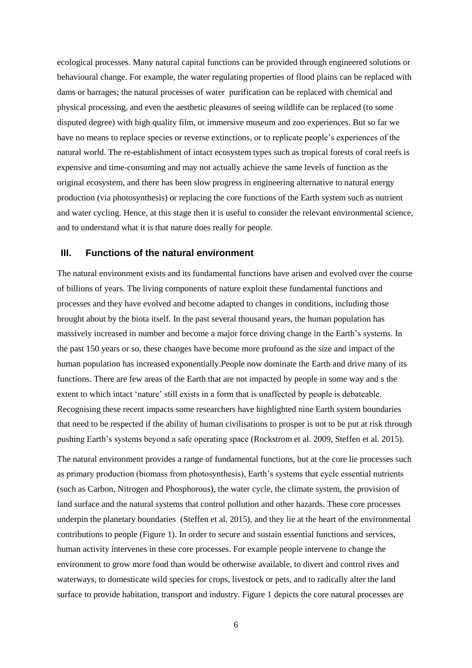ecological processes. Many natural capital functions can be provided through engineered solutions or behavioural change. For example, the water regulating properties of flood plains can be replaced with dams or barrages; the natural processes of water purification can be replaced with chemical and physical processing, and even the aesthetic pleasures of seeing wildlife can be replaced (to some disputed degree) with high quality film, or immersive museum and zoo experiences. But so far we have no means to replace species or reverse extinctions, or to replicate people's experiences of the natural world. The re-establishment of intact ecosystem types such as tropical forests of coral reefs is expensive and time-consuming and may not actually achieve the same levels of function as the original ecosystem, and there has been slow progress in engineering alternative to natural energy production (via photosynthesis) or replacing the core functions of the Earth system such as nutrient and water cycling. Hence, at this stage then it is useful to consider the relevant environmental science, and to understand what it is that nature does really for people.

### **III. Functions of the natural environment**

The natural environment exists and its fundamental functions have arisen and evolved over the course of billions of years. The living components of nature exploit these fundamental functions and processes and they have evolved and become adapted to changes in conditions, including those brought about by the biota itself. In the past several thousand years, the human population has massively increased in number and become a major force driving change in the Earth's systems. In the past 150 years or so, these changes have become more profound as the size and impact of the human population has increased exponentially.People now dominate the Earth and drive many of its functions. There are few areas of the Earth that are not impacted by people in some way and s the extent to which intact 'nature' still exists in a form that is unaffected by people is debateable. Recognising these recent impacts some researchers have highlighted nine Earth system boundaries that need to be respected if the ability of human civilisations to prosper is not to be put at risk through pushing Earth's systems beyond a safe operating space (Rockstrom et al. 2009, Steffen et al. 2015).

The natural environment provides a range of fundamental functions, but at the core lie processes such as primary production (biomass from photosynthesis), Earth's systems that cycle essential nutrients (such as Carbon, Nitrogen and Phosphorous), the water cycle, the climate system, the provision of land surface and the natural systems that control pollution and other hazards. These core processes underpin the planetary boundaries (Steffen et al. 2015), and they lie at the heart of the environmental contributions to people (Figure 1). In order to secure and sustain essential functions and services, human activity intervenes in these core processes. For example people intervene to change the environment to grow more food than would be otherwise available, to divert and control rives and waterways, to domesticate wild species for crops, livestock or pets, and to radically alter the land surface to provide habitation, transport and industry. Figure 1 depicts the core natural processes are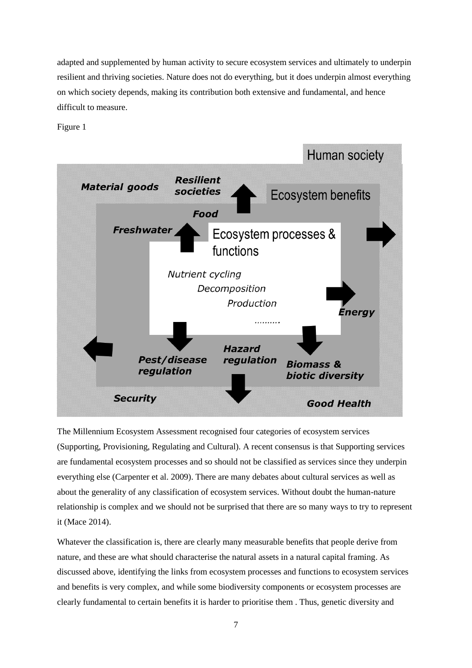adapted and supplemented by human activity to secure ecosystem services and ultimately to underpin resilient and thriving societies. Nature does not do everything, but it does underpin almost everything on which society depends, making its contribution both extensive and fundamental, and hence difficult to measure.

Figure 1



The Millennium Ecosystem Assessment recognised four categories of ecosystem services (Supporting, Provisioning, Regulating and Cultural). A recent consensus is that Supporting services are fundamental ecosystem processes and so should not be classified as services since they underpin everything else (Carpenter et al. 2009). There are many debates about cultural services as well as about the generality of any classification of ecosystem services. Without doubt the human-nature relationship is complex and we should not be surprised that there are so many ways to try to represent it (Mace 2014).

Whatever the classification is, there are clearly many measurable benefits that people derive from nature, and these are what should characterise the natural assets in a natural capital framing. As discussed above, identifying the links from ecosystem processes and functions to ecosystem services and benefits is very complex, and while some biodiversity components or ecosystem processes are clearly fundamental to certain benefits it is harder to prioritise them . Thus, genetic diversity and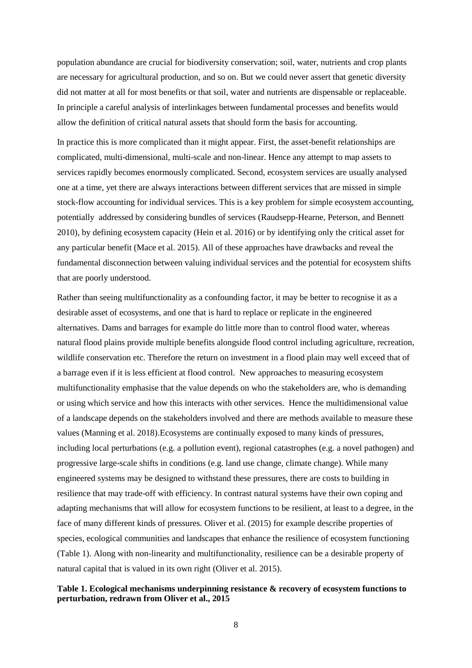population abundance are crucial for biodiversity conservation; soil, water, nutrients and crop plants are necessary for agricultural production, and so on. But we could never assert that genetic diversity did not matter at all for most benefits or that soil, water and nutrients are dispensable or replaceable. In principle a careful analysis of interlinkages between fundamental processes and benefits would allow the definition of critical natural assets that should form the basis for accounting.

In practice this is more complicated than it might appear. First, the asset-benefit relationships are complicated, multi-dimensional, multi-scale and non-linear. Hence any attempt to map assets to services rapidly becomes enormously complicated. Second, ecosystem services are usually analysed one at a time, yet there are always interactions between different services that are missed in simple stock-flow accounting for individual services. This is a key problem for simple ecosystem accounting, potentially addressed by considering bundles of services (Raudsepp-Hearne, Peterson, and Bennett 2010), by defining ecosystem capacity (Hein et al. 2016) or by identifying only the critical asset for any particular benefit (Mace et al. 2015). All of these approaches have drawbacks and reveal the fundamental disconnection between valuing individual services and the potential for ecosystem shifts that are poorly understood.

Rather than seeing multifunctionality as a confounding factor, it may be better to recognise it as a desirable asset of ecosystems, and one that is hard to replace or replicate in the engineered alternatives. Dams and barrages for example do little more than to control flood water, whereas natural flood plains provide multiple benefits alongside flood control including agriculture, recreation, wildlife conservation etc. Therefore the return on investment in a flood plain may well exceed that of a barrage even if it is less efficient at flood control. New approaches to measuring ecosystem multifunctionality emphasise that the value depends on who the stakeholders are, who is demanding or using which service and how this interacts with other services. Hence the multidimensional value of a landscape depends on the stakeholders involved and there are methods available to measure these values (Manning et al. 2018).Ecosystems are continually exposed to many kinds of pressures, including local perturbations (e.g. a pollution event), regional catastrophes (e.g. a novel pathogen) and progressive large-scale shifts in conditions (e.g. land use change, climate change). While many engineered systems may be designed to withstand these pressures, there are costs to building in resilience that may trade-off with efficiency. In contrast natural systems have their own coping and adapting mechanisms that will allow for ecosystem functions to be resilient, at least to a degree, in the face of many different kinds of pressures. Oliver et al. (2015) for example describe properties of species, ecological communities and landscapes that enhance the resilience of ecosystem functioning (Table 1). Along with non-linearity and multifunctionality, resilience can be a desirable property of natural capital that is valued in its own right (Oliver et al. 2015).

## **Table 1. Ecological mechanisms underpinning resistance & recovery of ecosystem functions to perturbation, redrawn from Oliver et al., 2015**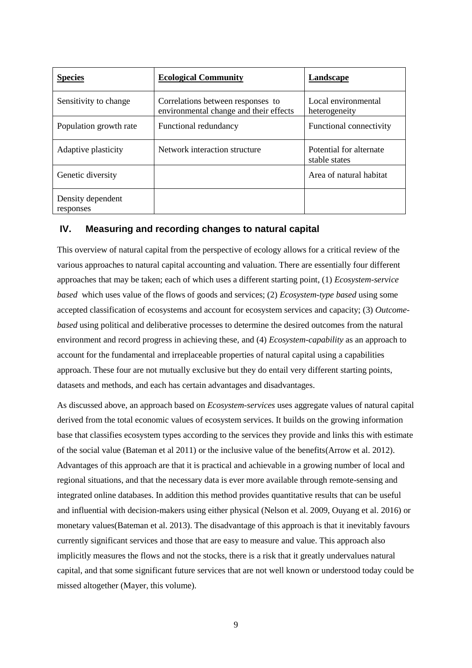| <b>Species</b>                 | <b>Ecological Community</b>                                                 | Landscape                                |
|--------------------------------|-----------------------------------------------------------------------------|------------------------------------------|
| Sensitivity to change          | Correlations between responses to<br>environmental change and their effects | Local environmental<br>heterogeneity     |
| Population growth rate         | Functional redundancy                                                       | Functional connectivity                  |
| Adaptive plasticity            | Network interaction structure                                               | Potential for alternate<br>stable states |
| Genetic diversity              |                                                                             | Area of natural habitat                  |
| Density dependent<br>responses |                                                                             |                                          |

## **IV. Measuring and recording changes to natural capital**

This overview of natural capital from the perspective of ecology allows for a critical review of the various approaches to natural capital accounting and valuation. There are essentially four different approaches that may be taken; each of which uses a different starting point, (1) *Ecosystem-service based* which uses value of the flows of goods and services; (2) *Ecosystem-type based* using some accepted classification of ecosystems and account for ecosystem services and capacity; (3) *Outcomebased* using political and deliberative processes to determine the desired outcomes from the natural environment and record progress in achieving these, and (4) *Ecosystem-capability* as an approach to account for the fundamental and irreplaceable properties of natural capital using a capabilities approach. These four are not mutually exclusive but they do entail very different starting points, datasets and methods, and each has certain advantages and disadvantages.

As discussed above, an approach based on *Ecosystem-services* uses aggregate values of natural capital derived from the total economic values of ecosystem services. It builds on the growing information base that classifies ecosystem types according to the services they provide and links this with estimate of the social value (Bateman et al 2011) or the inclusive value of the benefits(Arrow et al. 2012). Advantages of this approach are that it is practical and achievable in a growing number of local and regional situations, and that the necessary data is ever more available through remote-sensing and integrated online databases. In addition this method provides quantitative results that can be useful and influential with decision-makers using either physical (Nelson et al. 2009, Ouyang et al. 2016) or monetary values(Bateman et al. 2013). The disadvantage of this approach is that it inevitably favours currently significant services and those that are easy to measure and value. This approach also implicitly measures the flows and not the stocks, there is a risk that it greatly undervalues natural capital, and that some significant future services that are not well known or understood today could be missed altogether (Mayer, this volume).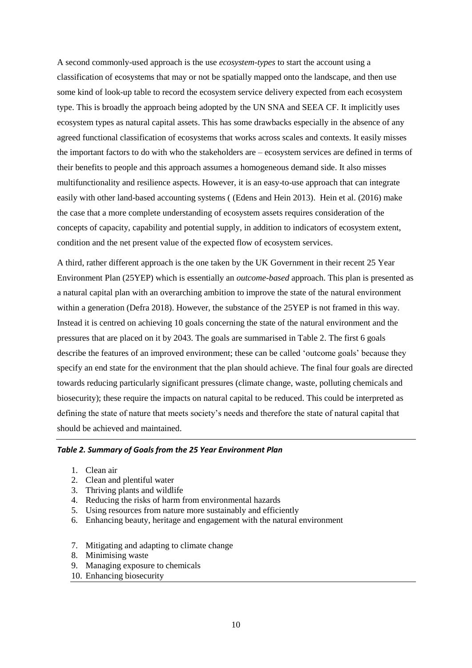A second commonly-used approach is the use *ecosystem-types* to start the account using a classification of ecosystems that may or not be spatially mapped onto the landscape, and then use some kind of look-up table to record the ecosystem service delivery expected from each ecosystem type. This is broadly the approach being adopted by the UN SNA and SEEA CF. It implicitly uses ecosystem types as natural capital assets. This has some drawbacks especially in the absence of any agreed functional classification of ecosystems that works across scales and contexts. It easily misses the important factors to do with who the stakeholders are – ecosystem services are defined in terms of their benefits to people and this approach assumes a homogeneous demand side. It also misses multifunctionality and resilience aspects. However, it is an easy-to-use approach that can integrate easily with other land-based accounting systems ( (Edens and Hein 2013). Hein et al. (2016) make the case that a more complete understanding of ecosystem assets requires consideration of the concepts of capacity, capability and potential supply, in addition to indicators of ecosystem extent, condition and the net present value of the expected flow of ecosystem services.

A third, rather different approach is the one taken by the UK Government in their recent 25 Year Environment Plan (25YEP) which is essentially an *outcome-based* approach. This plan is presented as a natural capital plan with an overarching ambition to improve the state of the natural environment within a generation (Defra 2018). However, the substance of the 25YEP is not framed in this way. Instead it is centred on achieving 10 goals concerning the state of the natural environment and the pressures that are placed on it by 2043. The goals are summarised in Table 2. The first 6 goals describe the features of an improved environment; these can be called 'outcome goals' because they specify an end state for the environment that the plan should achieve. The final four goals are directed towards reducing particularly significant pressures (climate change, waste, polluting chemicals and biosecurity); these require the impacts on natural capital to be reduced. This could be interpreted as defining the state of nature that meets society's needs and therefore the state of natural capital that should be achieved and maintained.

#### *Table 2. Summary of Goals from the 25 Year Environment Plan*

- 1. Clean air
- 2. Clean and plentiful water
- 3. Thriving plants and wildlife
- 4. Reducing the risks of harm from environmental hazards
- 5. Using resources from nature more sustainably and efficiently
- 6. Enhancing beauty, heritage and engagement with the natural environment
- 7. Mitigating and adapting to climate change
- 8. Minimising waste
- 9. Managing exposure to chemicals
- 10. Enhancing biosecurity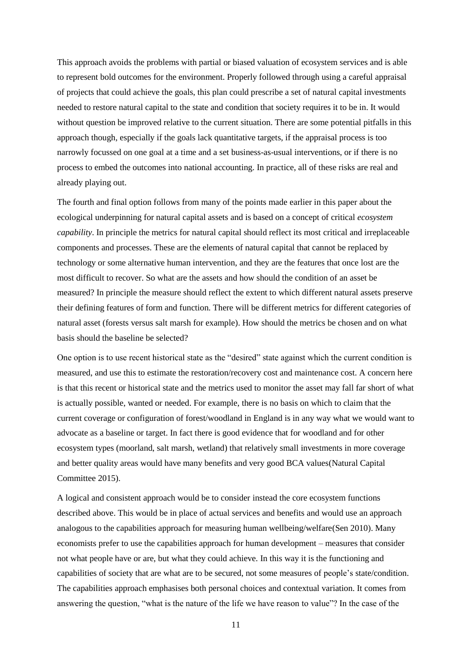This approach avoids the problems with partial or biased valuation of ecosystem services and is able to represent bold outcomes for the environment. Properly followed through using a careful appraisal of projects that could achieve the goals, this plan could prescribe a set of natural capital investments needed to restore natural capital to the state and condition that society requires it to be in. It would without question be improved relative to the current situation. There are some potential pitfalls in this approach though, especially if the goals lack quantitative targets, if the appraisal process is too narrowly focussed on one goal at a time and a set business-as-usual interventions, or if there is no process to embed the outcomes into national accounting. In practice, all of these risks are real and already playing out.

The fourth and final option follows from many of the points made earlier in this paper about the ecological underpinning for natural capital assets and is based on a concept of critical *ecosystem capability*. In principle the metrics for natural capital should reflect its most critical and irreplaceable components and processes. These are the elements of natural capital that cannot be replaced by technology or some alternative human intervention, and they are the features that once lost are the most difficult to recover. So what are the assets and how should the condition of an asset be measured? In principle the measure should reflect the extent to which different natural assets preserve their defining features of form and function. There will be different metrics for different categories of natural asset (forests versus salt marsh for example). How should the metrics be chosen and on what basis should the baseline be selected?

One option is to use recent historical state as the "desired" state against which the current condition is measured, and use this to estimate the restoration/recovery cost and maintenance cost. A concern here is that this recent or historical state and the metrics used to monitor the asset may fall far short of what is actually possible, wanted or needed. For example, there is no basis on which to claim that the current coverage or configuration of forest/woodland in England is in any way what we would want to advocate as a baseline or target. In fact there is good evidence that for woodland and for other ecosystem types (moorland, salt marsh, wetland) that relatively small investments in more coverage and better quality areas would have many benefits and very good BCA values(Natural Capital Committee 2015).

A logical and consistent approach would be to consider instead the core ecosystem functions described above. This would be in place of actual services and benefits and would use an approach analogous to the capabilities approach for measuring human wellbeing/welfare(Sen 2010). Many economists prefer to use the capabilities approach for human development – measures that consider not what people have or are, but what they could achieve. In this way it is the functioning and capabilities of society that are what are to be secured, not some measures of people's state/condition. The capabilities approach emphasises both personal choices and contextual variation. It comes from answering the question, "what is the nature of the life we have reason to value"? In the case of the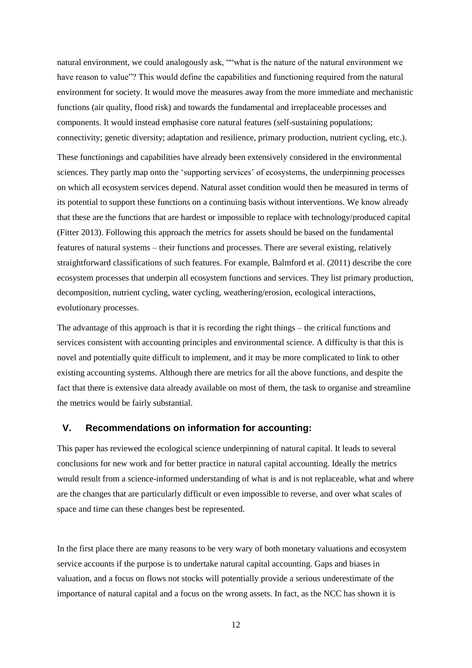natural environment, we could analogously ask, ""what is the nature of the natural environment we have reason to value"? This would define the capabilities and functioning required from the natural environment for society. It would move the measures away from the more immediate and mechanistic functions (air quality, flood risk) and towards the fundamental and irreplaceable processes and components. It would instead emphasise core natural features (self-sustaining populations; connectivity; genetic diversity; adaptation and resilience, primary production, nutrient cycling, etc.).

These functionings and capabilities have already been extensively considered in the environmental sciences. They partly map onto the 'supporting services' of ecosystems, the underpinning processes on which all ecosystem services depend. Natural asset condition would then be measured in terms of its potential to support these functions on a continuing basis without interventions. We know already that these are the functions that are hardest or impossible to replace with technology/produced capital (Fitter 2013). Following this approach the metrics for assets should be based on the fundamental features of natural systems – their functions and processes. There are several existing, relatively straightforward classifications of such features. For example, Balmford et al. (2011) describe the core ecosystem processes that underpin all ecosystem functions and services. They list primary production, decomposition, nutrient cycling, water cycling, weathering/erosion, ecological interactions, evolutionary processes.

The advantage of this approach is that it is recording the right things – the critical functions and services consistent with accounting principles and environmental science. A difficulty is that this is novel and potentially quite difficult to implement, and it may be more complicated to link to other existing accounting systems. Although there are metrics for all the above functions, and despite the fact that there is extensive data already available on most of them, the task to organise and streamline the metrics would be fairly substantial.

#### **V. Recommendations on information for accounting:**

This paper has reviewed the ecological science underpinning of natural capital. It leads to several conclusions for new work and for better practice in natural capital accounting. Ideally the metrics would result from a science-informed understanding of what is and is not replaceable, what and where are the changes that are particularly difficult or even impossible to reverse, and over what scales of space and time can these changes best be represented.

In the first place there are many reasons to be very wary of both monetary valuations and ecosystem service accounts if the purpose is to undertake natural capital accounting. Gaps and biases in valuation, and a focus on flows not stocks will potentially provide a serious underestimate of the importance of natural capital and a focus on the wrong assets. In fact, as the NCC has shown it is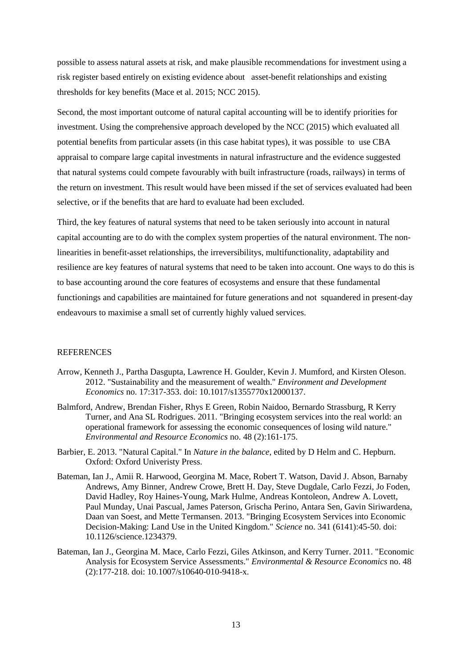possible to assess natural assets at risk, and make plausible recommendations for investment using a risk register based entirely on existing evidence about asset-benefit relationships and existing thresholds for key benefits (Mace et al. 2015; NCC 2015).

Second, the most important outcome of natural capital accounting will be to identify priorities for investment. Using the comprehensive approach developed by the NCC (2015) which evaluated all potential benefits from particular assets (in this case habitat types), it was possible to use CBA appraisal to compare large capital investments in natural infrastructure and the evidence suggested that natural systems could compete favourably with built infrastructure (roads, railways) in terms of the return on investment. This result would have been missed if the set of services evaluated had been selective, or if the benefits that are hard to evaluate had been excluded.

Third, the key features of natural systems that need to be taken seriously into account in natural capital accounting are to do with the complex system properties of the natural environment. The nonlinearities in benefit-asset relationships, the irreversibilitys, multifunctionality, adaptability and resilience are key features of natural systems that need to be taken into account. One ways to do this is to base accounting around the core features of ecosystems and ensure that these fundamental functionings and capabilities are maintained for future generations and not squandered in present-day endeavours to maximise a small set of currently highly valued services.

#### **REFERENCES**

- Arrow, Kenneth J., Partha Dasgupta, Lawrence H. Goulder, Kevin J. Mumford, and Kirsten Oleson. 2012. "Sustainability and the measurement of wealth." *Environment and Development Economics* no. 17:317-353. doi: 10.1017/s1355770x12000137.
- Balmford, Andrew, Brendan Fisher, Rhys E Green, Robin Naidoo, Bernardo Strassburg, R Kerry Turner, and Ana SL Rodrigues. 2011. "Bringing ecosystem services into the real world: an operational framework for assessing the economic consequences of losing wild nature." *Environmental and Resource Economics* no. 48 (2):161-175.
- Barbier, E. 2013. "Natural Capital." In *Nature in the balance*, edited by D Helm and C. Hepburn. Oxford: Oxford Univeristy Press.
- Bateman, Ian J., Amii R. Harwood, Georgina M. Mace, Robert T. Watson, David J. Abson, Barnaby Andrews, Amy Binner, Andrew Crowe, Brett H. Day, Steve Dugdale, Carlo Fezzi, Jo Foden, David Hadley, Roy Haines-Young, Mark Hulme, Andreas Kontoleon, Andrew A. Lovett, Paul Munday, Unai Pascual, James Paterson, Grischa Perino, Antara Sen, Gavin Siriwardena, Daan van Soest, and Mette Termansen. 2013. "Bringing Ecosystem Services into Economic Decision-Making: Land Use in the United Kingdom." *Science* no. 341 (6141):45-50. doi: 10.1126/science.1234379.
- Bateman, Ian J., Georgina M. Mace, Carlo Fezzi, Giles Atkinson, and Kerry Turner. 2011. "Economic Analysis for Ecosystem Service Assessments." *Environmental & Resource Economics* no. 48 (2):177-218. doi: 10.1007/s10640-010-9418-x.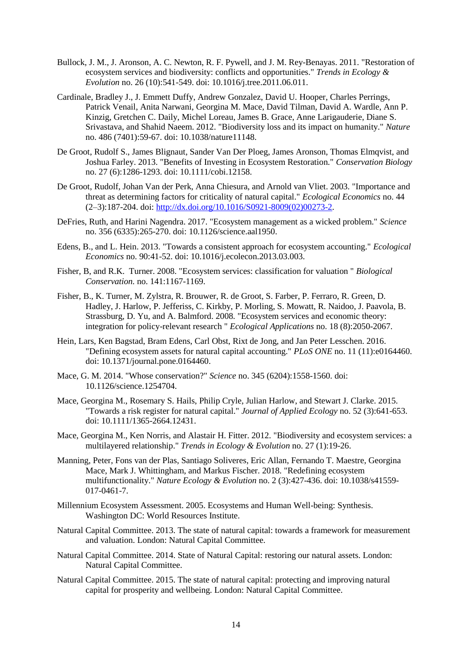- Bullock, J. M., J. Aronson, A. C. Newton, R. F. Pywell, and J. M. Rey-Benayas. 2011. "Restoration of ecosystem services and biodiversity: conflicts and opportunities." *Trends in Ecology & Evolution* no. 26 (10):541-549. doi: 10.1016/j.tree.2011.06.011.
- Cardinale, Bradley J., J. Emmett Duffy, Andrew Gonzalez, David U. Hooper, Charles Perrings, Patrick Venail, Anita Narwani, Georgina M. Mace, David Tilman, David A. Wardle, Ann P. Kinzig, Gretchen C. Daily, Michel Loreau, James B. Grace, Anne Larigauderie, Diane S. Srivastava, and Shahid Naeem. 2012. "Biodiversity loss and its impact on humanity." *Nature* no. 486 (7401):59-67. doi: 10.1038/nature11148.
- De Groot, Rudolf S., James Blignaut, Sander Van Der Ploeg, James Aronson, Thomas Elmqvist, and Joshua Farley. 2013. "Benefits of Investing in Ecosystem Restoration." *Conservation Biology* no. 27 (6):1286-1293. doi: 10.1111/cobi.12158.
- De Groot, Rudolf, Johan Van der Perk, Anna Chiesura, and Arnold van Vliet. 2003. "Importance and threat as determining factors for criticality of natural capital." *Ecological Economics* no. 44 (2–3):187-204. doi: [http://dx.doi.org/10.1016/S0921-8009\(02\)00273-2.](http://dx.doi.org/10.1016/S0921-8009(02)00273-2)
- DeFries, Ruth, and Harini Nagendra. 2017. "Ecosystem management as a wicked problem." *Science* no. 356 (6335):265-270. doi: 10.1126/science.aal1950.
- Edens, B., and L. Hein. 2013. "Towards a consistent approach for ecosystem accounting." *Ecological Economics* no. 90:41-52. doi: 10.1016/j.ecolecon.2013.03.003.
- Fisher, B, and R.K. Turner. 2008. "Ecosystem services: classification for valuation " *Biological Conservation.* no. 141:1167-1169.
- Fisher, B., K. Turner, M. Zylstra, R. Brouwer, R. de Groot, S. Farber, P. Ferraro, R. Green, D. Hadley, J. Harlow, P. Jefferiss, C. Kirkby, P. Morling, S. Mowatt, R. Naidoo, J. Paavola, B. Strassburg, D. Yu, and A. Balmford. 2008. "Ecosystem services and economic theory: integration for policy-relevant research " *Ecological Applications* no. 18 (8):2050-2067.
- Hein, Lars, Ken Bagstad, Bram Edens, Carl Obst, Rixt de Jong, and Jan Peter Lesschen. 2016. "Defining ecosystem assets for natural capital accounting." *PLoS ONE* no. 11 (11):e0164460. doi: 10.1371/journal.pone.0164460.
- Mace, G. M. 2014. "Whose conservation?" *Science* no. 345 (6204):1558-1560. doi: 10.1126/science.1254704.
- Mace, Georgina M., Rosemary S. Hails, Philip Cryle, Julian Harlow, and Stewart J. Clarke. 2015. "Towards a risk register for natural capital." *Journal of Applied Ecology* no. 52 (3):641-653. doi: 10.1111/1365-2664.12431.
- Mace, Georgina M., Ken Norris, and Alastair H. Fitter. 2012. "Biodiversity and ecosystem services: a multilayered relationship." *Trends in Ecology & Evolution* no. 27 (1):19-26.
- Manning, Peter, Fons van der Plas, Santiago Soliveres, Eric Allan, Fernando T. Maestre, Georgina Mace, Mark J. Whittingham, and Markus Fischer. 2018. "Redefining ecosystem multifunctionality." *Nature Ecology & Evolution* no. 2 (3):427-436. doi: 10.1038/s41559- 017-0461-7.
- Millennium Ecosystem Assessment. 2005. Ecosystems and Human Well-being: Synthesis. Washington DC: World Resources Institute.
- Natural Capital Committee. 2013. The state of natural capital: towards a framework for measurement and valuation. London: Natural Capital Committee.
- Natural Capital Committee. 2014. State of Natural Capital: restoring our natural assets. London: Natural Capital Committee.
- Natural Capital Committee. 2015. The state of natural capital: protecting and improving natural capital for prosperity and wellbeing. London: Natural Capital Committee.